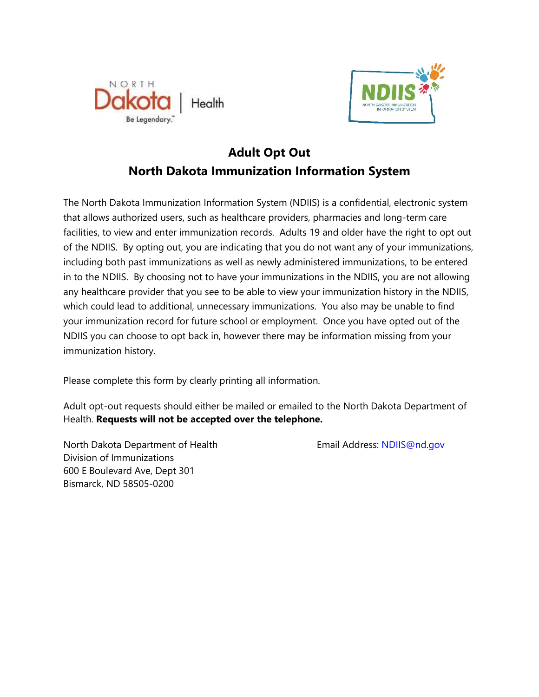



## **Adult Opt Out North Dakota Immunization Information System**

The North Dakota Immunization Information System (NDIIS) is a confidential, electronic system that allows authorized users, such as healthcare providers, pharmacies and long-term care facilities, to view and enter immunization records. Adults 19 and older have the right to opt out of the NDIIS. By opting out, you are indicating that you do not want any of your immunizations, including both past immunizations as well as newly administered immunizations, to be entered in to the NDIIS. By choosing not to have your immunizations in the NDIIS, you are not allowing any healthcare provider that you see to be able to view your immunization history in the NDIIS, which could lead to additional, unnecessary immunizations. You also may be unable to find your immunization record for future school or employment. Once you have opted out of the NDIIS you can choose to opt back in, however there may be information missing from your immunization history.

Please complete this form by clearly printing all information.

Adult opt-out requests should either be mailed or emailed to the North Dakota Department of Health. **Requests will not be accepted over the telephone.**

North Dakota Department of Health Email Address: NDIIS[@nd.gov](mailto:NDIIS@nd.gov) Division of Immunizations 600 E Boulevard Ave, Dept 301 Bismarck, ND 58505-0200